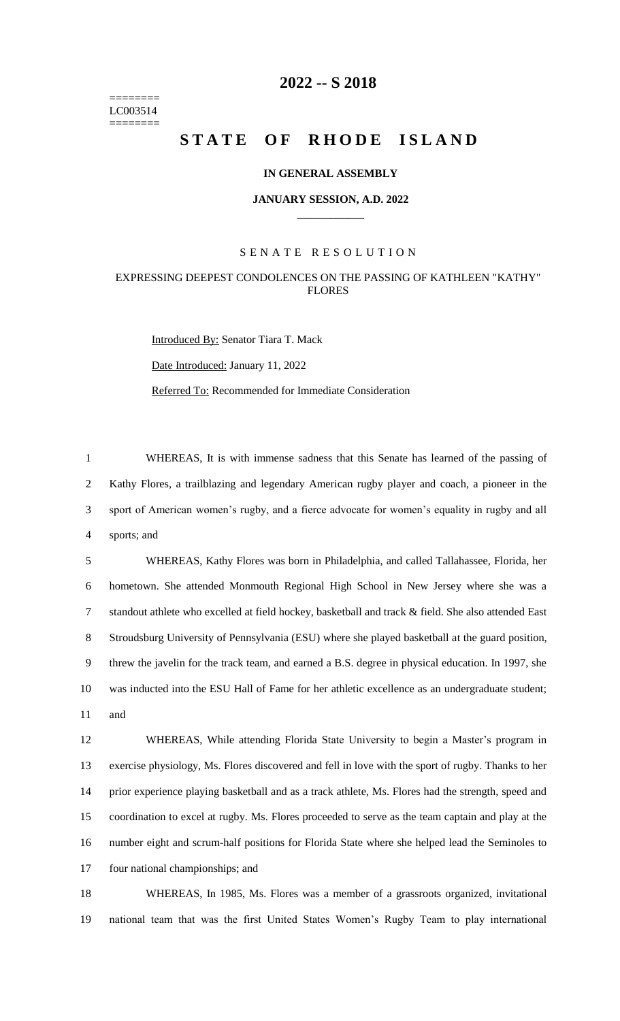======== LC003514 ========

# **-- S 2018**

# **STATE OF RHODE ISLAND**

## **IN GENERAL ASSEMBLY**

#### **JANUARY SESSION, A.D. 2022 \_\_\_\_\_\_\_\_\_\_\_\_**

## S E N A T E R E S O L U T I O N

# EXPRESSING DEEPEST CONDOLENCES ON THE PASSING OF KATHLEEN "KATHY" FLORES

Introduced By: Senator Tiara T. Mack Date Introduced: January 11, 2022 Referred To: Recommended for Immediate Consideration

 WHEREAS, It is with immense sadness that this Senate has learned of the passing of Kathy Flores, a trailblazing and legendary American rugby player and coach, a pioneer in the sport of American women's rugby, and a fierce advocate for women's equality in rugby and all sports; and

 WHEREAS, Kathy Flores was born in Philadelphia, and called Tallahassee, Florida, her hometown. She attended Monmouth Regional High School in New Jersey where she was a standout athlete who excelled at field hockey, basketball and track & field. She also attended East Stroudsburg University of Pennsylvania (ESU) where she played basketball at the guard position, threw the javelin for the track team, and earned a B.S. degree in physical education. In 1997, she was inducted into the ESU Hall of Fame for her athletic excellence as an undergraduate student; and

 WHEREAS, While attending Florida State University to begin a Master's program in exercise physiology, Ms. Flores discovered and fell in love with the sport of rugby. Thanks to her prior experience playing basketball and as a track athlete, Ms. Flores had the strength, speed and coordination to excel at rugby. Ms. Flores proceeded to serve as the team captain and play at the number eight and scrum-half positions for Florida State where she helped lead the Seminoles to four national championships; and

 WHEREAS, In 1985, Ms. Flores was a member of a grassroots organized, invitational national team that was the first United States Women's Rugby Team to play international